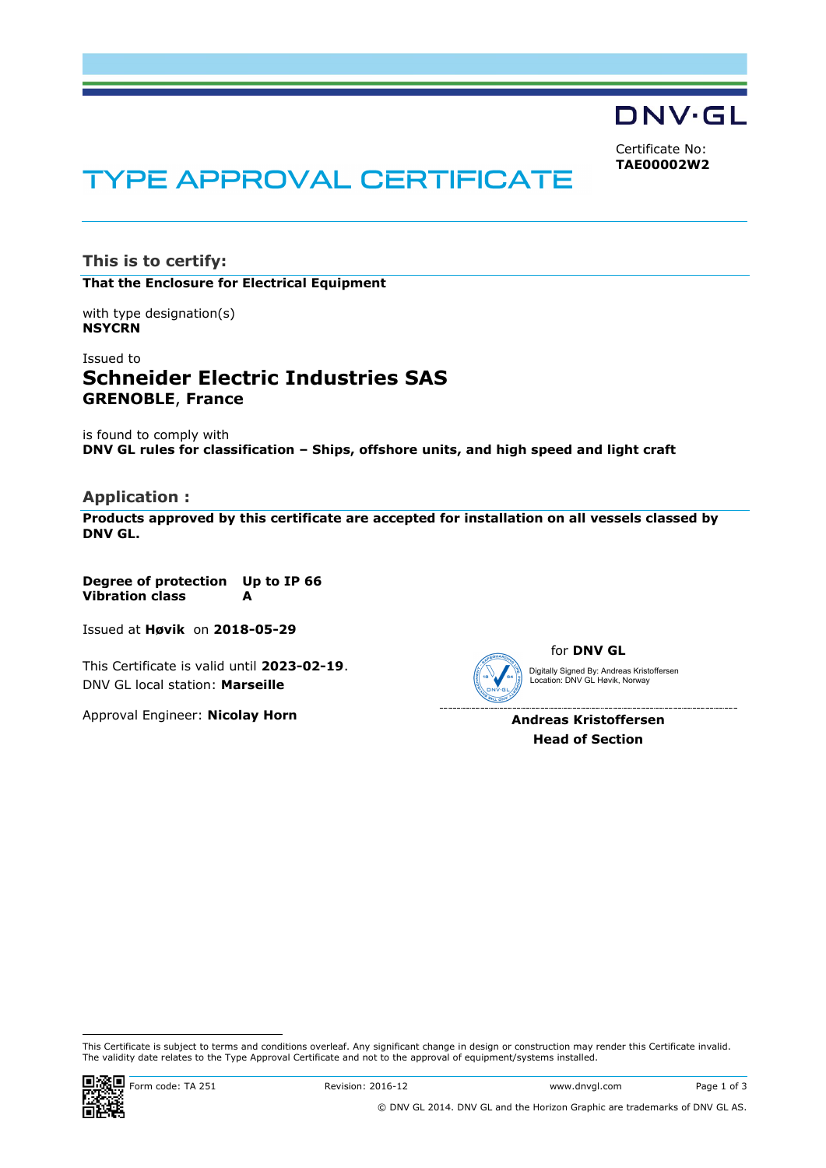DNV·GL

Certificate No: **TAE00002W2**

# **TYPE APPROVAL CERTIFICATE**

**This is to certify: That the Enclosure for Electrical Equipment**

with type designation(s) **NSYCRN**

Issued to **Schneider Electric Industries SAS GRENOBLE**, **France**

is found to comply with **DNV GL rules for classification – Ships, offshore units, and high speed and light craft**

#### **Application :**

**Products approved by this certificate are accepted for installation on all vessels classed by DNV GL.**

**Degree of protection Up to IP 66 Vibration class A**

Issued at **Høvik** on **2018-05-29**

This Certificate is valid until **2023-02-19**. DNV GL local station: **Marseille**

Approval Engineer: **Nicolay Horn**

for **DNV GL** Digitally Signed By: Andreas Kristoffersen Location: DNV GL Høvik, Norway

> **Andreas Kristoffersen Head of Section**

i<br>I This Certificate is subject to terms and conditions overleaf. Any significant change in design or construction may render this Certificate invalid. The validity date relates to the Type Approval Certificate and not to the approval of equipment/systems installed.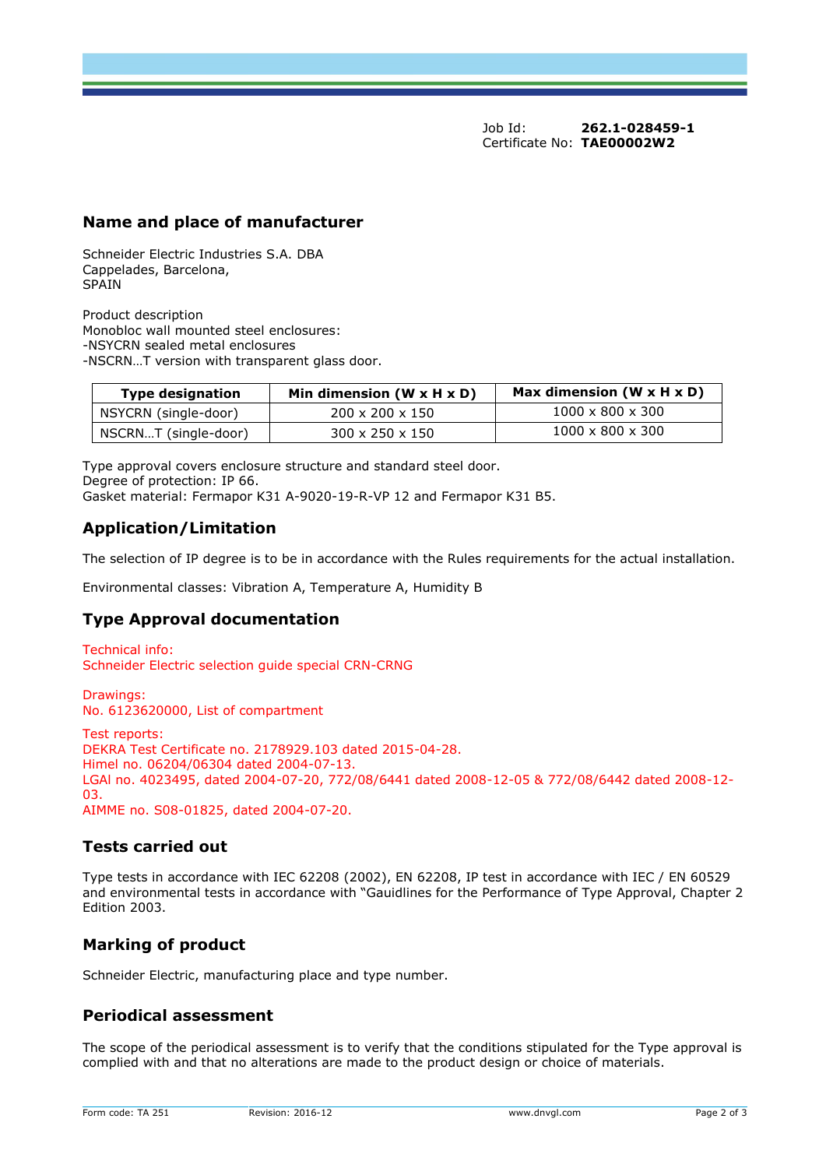Job Id: **262.1-028459-1** Certificate No: **TAE00002W2**

## **Name and place of manufacturer**

Schneider Electric Industries S.A. DBA Cappelades, Barcelona, **SPAIN** 

Product description Monobloc wall mounted steel enclosures: -NSYCRN sealed metal enclosures -NSCRN…T version with transparent glass door.

| <b>Type designation</b> | Min dimension ( $W \times H \times D$ ) | Max dimension $(W \times H \times D)$ |
|-------------------------|-----------------------------------------|---------------------------------------|
| NSYCRN (single-door)    | $200 \times 200 \times 150$             | $1000 \times 800 \times 300$          |
| NSCRNT (single-door)    | $300 \times 250 \times 150$             | $1000 \times 800 \times 300$          |

Type approval covers enclosure structure and standard steel door. Degree of protection: IP 66. Gasket material: Fermapor K31 A-9020-19-R-VP 12 and Fermapor K31 B5.

## **Application/Limitation**

The selection of IP degree is to be in accordance with the Rules requirements for the actual installation.

Environmental classes: Vibration A, Temperature A, Humidity B

## **Type Approval documentation**

Technical info: Schneider Electric selection guide special CRN-CRNG

Drawings: No. 6123620000, List of compartment

Test reports: DEKRA Test Certificate no. 2178929.103 dated 2015-04-28. Himel no. 06204/06304 dated 2004-07-13. LGAl no. 4023495, dated 2004-07-20, 772/08/6441 dated 2008-12-05 & 772/08/6442 dated 2008-12- 03. AIMME no. S08-01825, dated 2004-07-20.

## **Tests carried out**

Type tests in accordance with IEC 62208 (2002), EN 62208, IP test in accordance with IEC / EN 60529 and environmental tests in accordance with "Gauidlines for the Performance of Type Approval, Chapter 2 Edition 2003.

## **Marking of product**

Schneider Electric, manufacturing place and type number.

## **Periodical assessment**

The scope of the periodical assessment is to verify that the conditions stipulated for the Type approval is complied with and that no alterations are made to the product design or choice of materials.